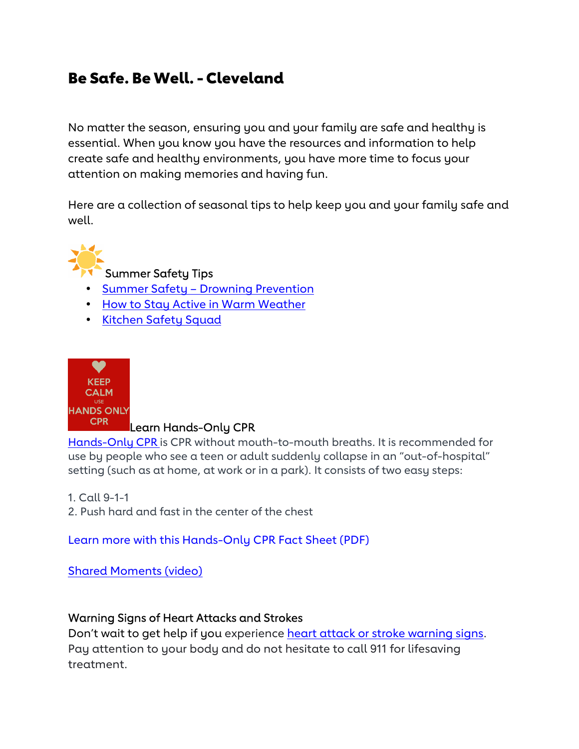# Be Safe. Be Well. - Cleveland

No matter the season, ensuring you and your family are safe and healthy is essential. When you know you have the resources and information to help create safe and healthy environments, you have more time to focus your attention on making memories and having fun.

Here are a collection of seasonal tips to help keep you and your family safe and well.



# Summer Safety Tips

- Summer Safety Drowning Prevention
- How to Stay Active in Warm Weather
- Kitchen Safety Squad



## Learn Hands-Only CPR

Hands-Only CPR is CPR without mouth-to-mouth breaths. It is recommended for use by people who see a teen or adult suddenly collapse in an "out-of-hospital" setting (such as at home, at work or in a park). It consists of two easy steps:

- 1. Call 9-1-1
- 2. Push hard and fast in the center of the chest

Learn more with this Hands-Only CPR Fact Sheet (PDF)

Shared Moments (video)

### Warning Signs of Heart Attacks and Strokes

Don't wait to get help if you experience heart attack or stroke warning signs. Pay attention to your body and do not hesitate to call 911 for lifesaving treatment.